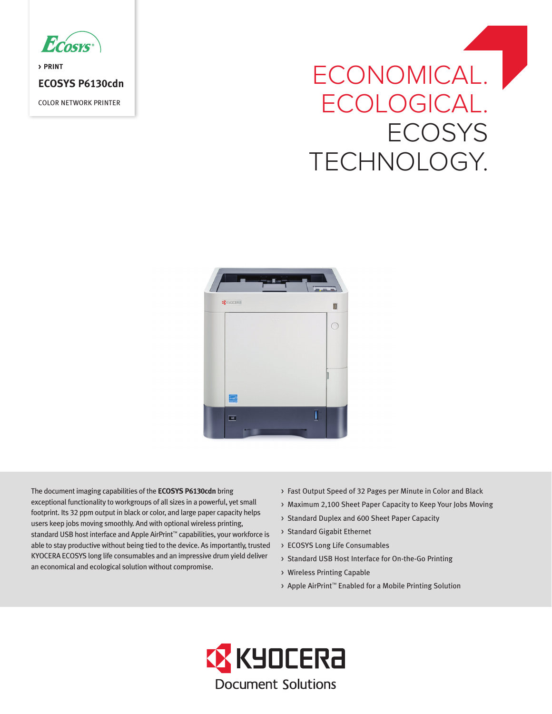

**> PRINT ECOSYS P6130cdn** COLOR NETWORK PRINTER

# ECONOMICAL. ECOLOGICAL. **ECOSYS** TECHNOLOGY.



The document imaging capabilities of the **ECOSYS P6130cdn** bring exceptional functionality to workgroups of all sizes in a powerful, yet small footprint. Its 32 ppm output in black or color, and large paper capacity helps users keep jobs moving smoothly. And with optional wireless printing, standard USB host interface and Apple AirPrint™ capabilities, your workforce is able to stay productive without being tied to the device. As importantly, trusted KYOCERA ECOSYS long life consumables and an impressive drum yield deliver an economical and ecological solution without compromise.

- > Fast Output Speed of 32 Pages per Minute in Color and Black
- > Maximum 2,100 Sheet Paper Capacity to Keep Your Jobs Moving
- > Standard Duplex and 600 Sheet Paper Capacity
- > Standard Gigabit Ethernet
- > ECOSYS Long Life Consumables
- > Standard USB Host Interface for On-the-Go Printing
- > Wireless Printing Capable
- > Apple AirPrint™ Enabled for a Mobile Printing Solution